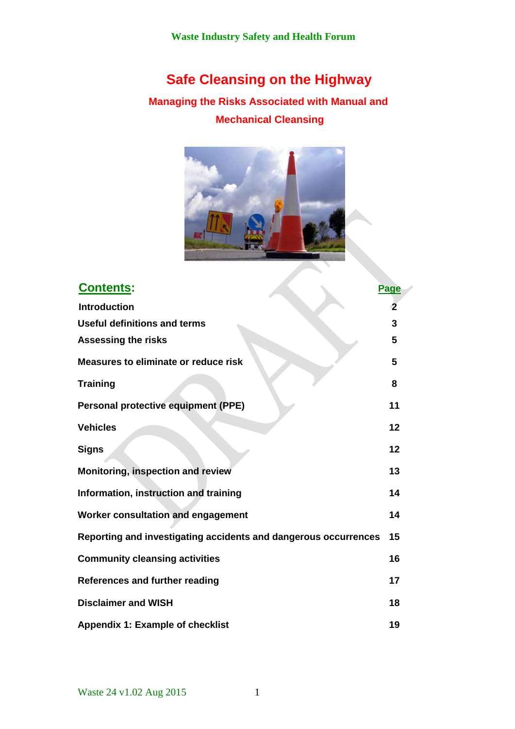# **Safe Cleansing on the Highway**

## **Managing the Risks Associated with Manual and Mechanical Cleansing**



| <b>Contents:</b>                                                | <b>Page</b> |
|-----------------------------------------------------------------|-------------|
| <b>Introduction</b>                                             | -2          |
| Useful definitions and terms                                    | 3           |
| <b>Assessing the risks</b>                                      | 5           |
| Measures to eliminate or reduce risk                            | 5           |
| <b>Training</b>                                                 | 8           |
| <b>Personal protective equipment (PPE)</b>                      | 11          |
| <b>Vehicles</b>                                                 | 12          |
| <b>Signs</b>                                                    | 12          |
| Monitoring, inspection and review                               | 13          |
| Information, instruction and training                           | 14          |
| Worker consultation and engagement                              | 14          |
| Reporting and investigating accidents and dangerous occurrences | 15          |
| <b>Community cleansing activities</b>                           | 16          |
| References and further reading                                  | 17          |
| <b>Disclaimer and WISH</b>                                      | 18          |
| <b>Appendix 1: Example of checklist</b>                         | 19          |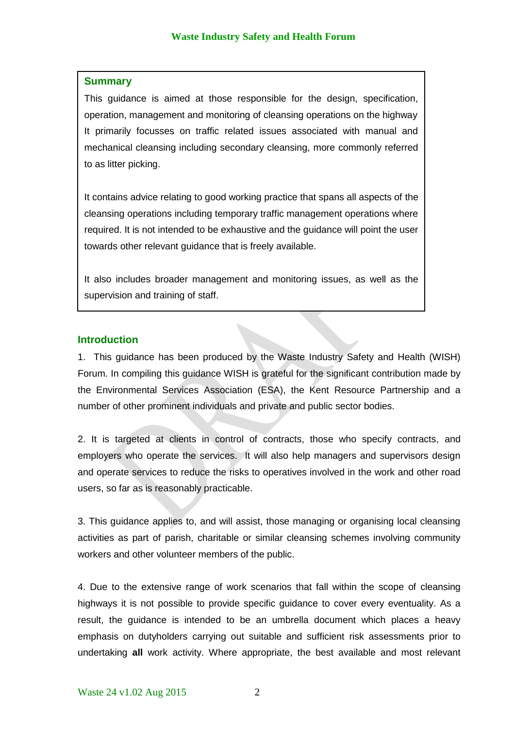#### **Summary**

This guidance is aimed at those responsible for the design, specification, operation, management and monitoring of cleansing operations on the highway It primarily focusses on traffic related issues associated with manual and mechanical cleansing including secondary cleansing, more commonly referred to as litter picking.

It contains advice relating to good working practice that spans all aspects of the cleansing operations including temporary traffic management operations where required. It is not intended to be exhaustive and the guidance will point the user towards other relevant guidance that is freely available.

It also includes broader management and monitoring issues, as well as the supervision and training of staff.

#### **Introduction**

1. This guidance has been produced by the Waste Industry Safety and Health (WISH) Forum. In compiling this guidance WISH is grateful for the significant contribution made by the Environmental Services Association (ESA), the Kent Resource Partnership and a number of other prominent individuals and private and public sector bodies.

2. It is targeted at clients in control of contracts, those who specify contracts, and employers who operate the services. It will also help managers and supervisors design and operate services to reduce the risks to operatives involved in the work and other road users, so far as is reasonably practicable.

3. This guidance applies to, and will assist, those managing or organising local cleansing activities as part of parish, charitable or similar cleansing schemes involving community workers and other volunteer members of the public.

4. Due to the extensive range of work scenarios that fall within the scope of cleansing highways it is not possible to provide specific guidance to cover every eventuality. As a result, the guidance is intended to be an umbrella document which places a heavy emphasis on dutyholders carrying out suitable and sufficient risk assessments prior to undertaking **all** work activity. Where appropriate, the best available and most relevant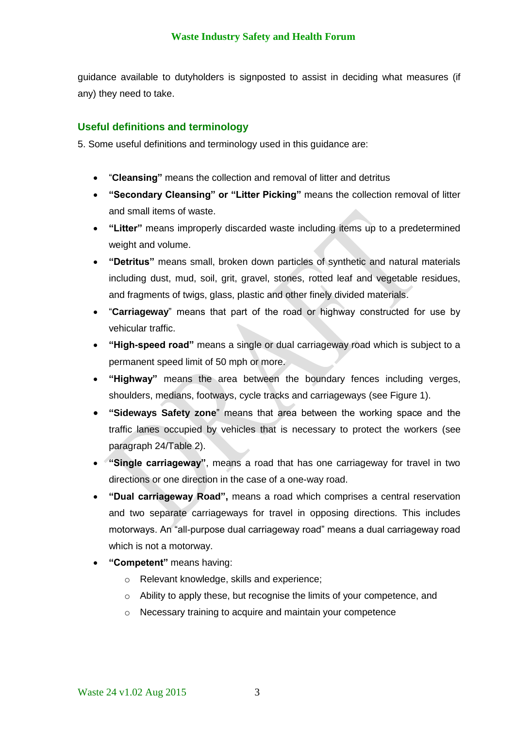guidance available to dutyholders is signposted to assist in deciding what measures (if any) they need to take.

## **Useful definitions and terminology**

5. Some useful definitions and terminology used in this guidance are:

- "**Cleansing"** means the collection and removal of litter and detritus
- **"Secondary Cleansing" or "Litter Picking"** means the collection removal of litter and small items of waste.
- **"Litter"** means improperly discarded waste including items up to a predetermined weight and volume.
- **"Detritus"** means small, broken down particles of synthetic and natural materials including dust, mud, soil, grit, gravel, stones, rotted leaf and vegetable residues, and fragments of twigs, glass, plastic and other finely divided materials.
- "**Carriageway**" means that part of the road or highway constructed for use by vehicular traffic.
- **"High-speed road"** means a single or dual carriageway road which is subject to a permanent speed limit of 50 mph or more.
- **"Highway"** means the area between the boundary fences including verges, shoulders, medians, footways, cycle tracks and carriageways (see Figure 1).
- **"Sideways Safety zone**" means that area between the working space and the traffic lanes occupied by vehicles that is necessary to protect the workers (see paragraph 24/Table 2).
- **"Single carriageway"**, means a road that has one carriageway for travel in two directions or one direction in the case of a one-way road.
- **"Dual carriageway Road",** means a road which comprises a central reservation and two separate carriageways for travel in opposing directions. This includes motorways. An "all-purpose dual carriageway road" means a dual carriageway road which is not a motorway.
- **"Competent"** means having:
	- o Relevant knowledge, skills and experience;
	- o Ability to apply these, but recognise the limits of your competence, and
	- o Necessary training to acquire and maintain your competence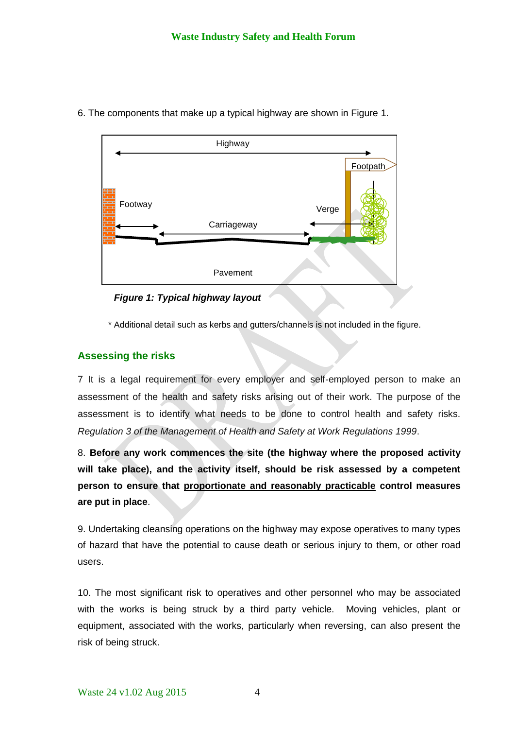

6. The components that make up a typical highway are shown in Figure 1.

*Figure 1: Typical highway layout*

\* Additional detail such as kerbs and gutters/channels is not included in the figure.

## **Assessing the risks**

7 It is a legal requirement for every employer and self-employed person to make an assessment of the health and safety risks arising out of their work. The purpose of the assessment is to identify what needs to be done to control health and safety risks. *Regulation 3 of the Management of Health and Safety at Work Regulations 1999*.

8. **Before any work commences the site (the highway where the proposed activity will take place), and the activity itself, should be risk assessed by a competent person to ensure that proportionate and reasonably practicable control measures are put in place**.

9. Undertaking cleansing operations on the highway may expose operatives to many types of hazard that have the potential to cause death or serious injury to them, or other road users.

10. The most significant risk to operatives and other personnel who may be associated with the works is being struck by a third party vehicle. Moving vehicles, plant or equipment, associated with the works, particularly when reversing, can also present the risk of being struck.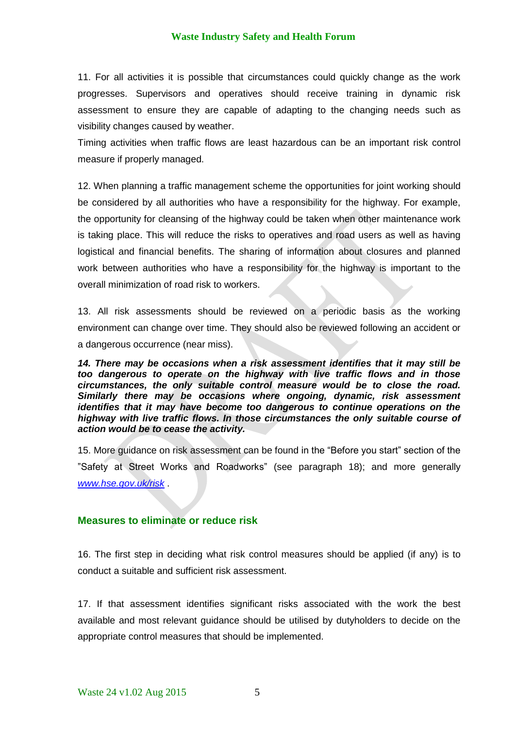11. For all activities it is possible that circumstances could quickly change as the work progresses. Supervisors and operatives should receive training in dynamic risk assessment to ensure they are capable of adapting to the changing needs such as visibility changes caused by weather.

Timing activities when traffic flows are least hazardous can be an important risk control measure if properly managed.

12. When planning a traffic management scheme the opportunities for joint working should be considered by all authorities who have a responsibility for the highway. For example, the opportunity for cleansing of the highway could be taken when other maintenance work is taking place. This will reduce the risks to operatives and road users as well as having logistical and financial benefits. The sharing of information about closures and planned work between authorities who have a responsibility for the highway is important to the overall minimization of road risk to workers.

13. All risk assessments should be reviewed on a periodic basis as the working environment can change over time. They should also be reviewed following an accident or a dangerous occurrence (near miss).

*14. There may be occasions when a risk assessment identifies that it may still be too dangerous to operate on the highway with live traffic flows and in those circumstances, the only suitable control measure would be to close the road. Similarly there may be occasions where ongoing, dynamic, risk assessment identifies that it may have become too dangerous to continue operations on the highway with live traffic flows. In those circumstances the only suitable course of action would be to cease the activity.* 

15. More guidance on risk assessment can be found in the "Before you start" section of the "Safety at Street Works and Roadworks" (see paragraph 18); and more generally *[www.hse.gov.uk/risk](http://www.hse.gov.uk/risk)* .

#### **Measures to eliminate or reduce risk**

16. The first step in deciding what risk control measures should be applied (if any) is to conduct a suitable and sufficient risk assessment.

17. If that assessment identifies significant risks associated with the work the best available and most relevant guidance should be utilised by dutyholders to decide on the appropriate control measures that should be implemented.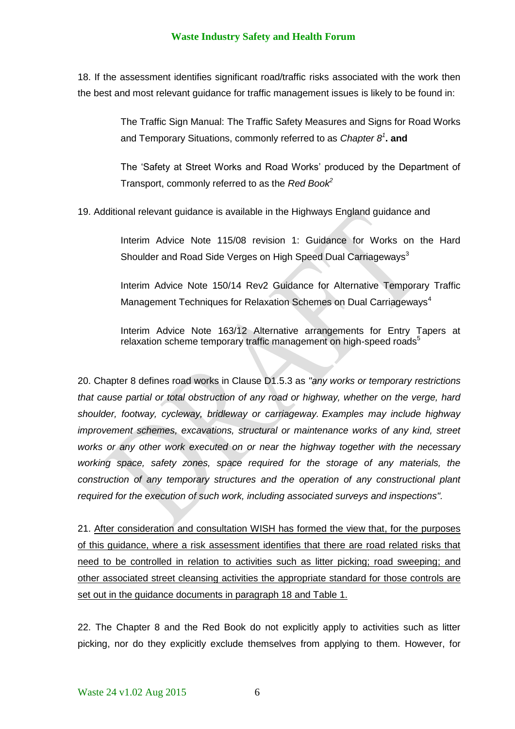18. If the assessment identifies significant road/traffic risks associated with the work then the best and most relevant guidance for traffic management issues is likely to be found in:

> The Traffic Sign Manual: The Traffic Safety Measures and Signs for Road Works and Temporary Situations, commonly referred to as *Chapter 8<sup>1</sup>* **. and**

> The 'Safety at Street Works and Road Works' produced by the Department of Transport, commonly referred to as the *Red Book<sup>2</sup>*

19. Additional relevant guidance is available in the Highways England guidance and

Interim Advice Note 115/08 revision 1: Guidance for Works on the Hard Shoulder and Road Side Verges on High Speed Dual Carriageways<sup>3</sup>

Interim Advice Note 150/14 Rev2 Guidance for Alternative Temporary Traffic Management Techniques for Relaxation Schemes on Dual Carriageways<sup>4</sup>

Interim Advice Note 163/12 Alternative arrangements for Entry Tapers at relaxation scheme temporary traffic management on high-speed roads<sup>5</sup>

20. Chapter 8 defines road works in Clause D1.5.3 as *"any works or temporary restrictions that cause partial or total obstruction of any road or highway, whether on the verge, hard shoulder, footway, cycleway, bridleway or carriageway. Examples may include highway improvement schemes, excavations, structural or maintenance works of any kind, street works or any other work executed on or near the highway together with the necessary working space, safety zones, space required for the storage of any materials, the construction of any temporary structures and the operation of any constructional plant required for the execution of such work, including associated surveys and inspections".*

21. After consideration and consultation WISH has formed the view that, for the purposes of this guidance, where a risk assessment identifies that there are road related risks that need to be controlled in relation to activities such as litter picking; road sweeping; and other associated street cleansing activities the appropriate standard for those controls are set out in the guidance documents in paragraph 18 and Table 1.

22. The Chapter 8 and the Red Book do not explicitly apply to activities such as litter picking, nor do they explicitly exclude themselves from applying to them. However, for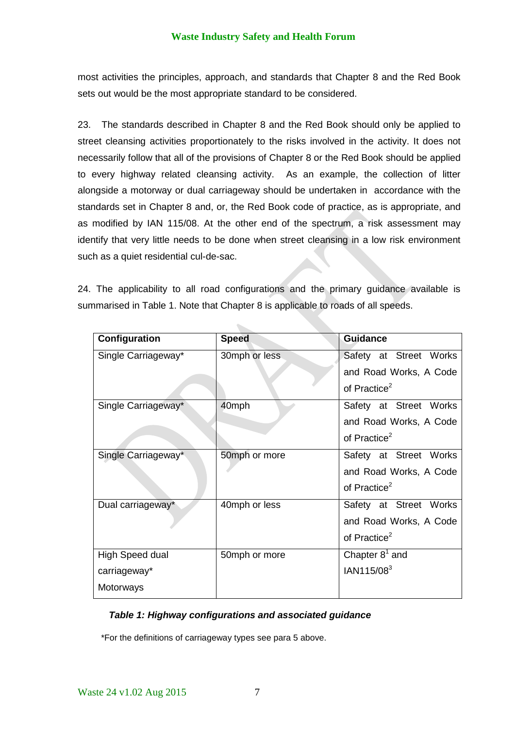most activities the principles, approach, and standards that Chapter 8 and the Red Book sets out would be the most appropriate standard to be considered.

23. The standards described in Chapter 8 and the Red Book should only be applied to street cleansing activities proportionately to the risks involved in the activity. It does not necessarily follow that all of the provisions of Chapter 8 or the Red Book should be applied to every highway related cleansing activity. As an example, the collection of litter alongside a motorway or dual carriageway should be undertaken in accordance with the standards set in Chapter 8 and, or, the Red Book code of practice, as is appropriate, and as modified by IAN 115/08. At the other end of the spectrum, a risk assessment may identify that very little needs to be done when street cleansing in a low risk environment such as a quiet residential cul-de-sac.

24. The applicability to all road configurations and the primary guidance available is summarised in Table 1. Note that Chapter 8 is applicable to roads of all speeds.

 $\mathcal{L}_{\text{max}}$ 

| Configuration       | <b>Speed</b>  | <b>Guidance</b>          |
|---------------------|---------------|--------------------------|
| Single Carriageway* | 30mph or less | Safety at Street Works   |
|                     |               | and Road Works, A Code   |
|                     |               | of Practice <sup>2</sup> |
| Single Carriageway* | 40mph         | Safety at Street Works   |
|                     |               | and Road Works, A Code   |
|                     |               | of Practice <sup>2</sup> |
| Single Carriageway* | 50mph or more | Safety at Street Works   |
|                     |               | and Road Works, A Code   |
|                     |               | of Practice <sup>2</sup> |
| Dual carriageway*   | 40mph or less | Safety at Street Works   |
|                     |               | and Road Works, A Code   |
|                     |               | of Practice <sup>2</sup> |
| High Speed dual     | 50mph or more | Chapter $8^1$ and        |
| carriageway*        |               | IAN115/08 <sup>3</sup>   |
| Motorways           |               |                          |

## *Table 1: Highway configurations and associated guidance*

\*For the definitions of carriageway types see para 5 above.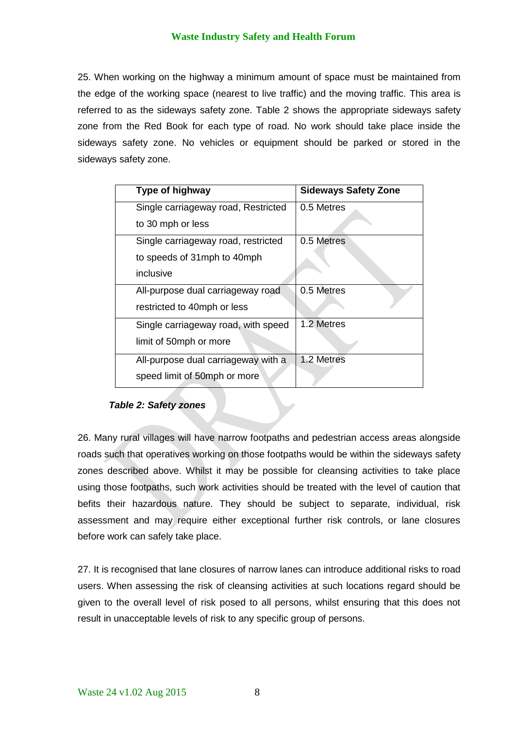25. When working on the highway a minimum amount of space must be maintained from the edge of the working space (nearest to live traffic) and the moving traffic. This area is referred to as the sideways safety zone. Table 2 shows the appropriate sideways safety zone from the Red Book for each type of road. No work should take place inside the sideways safety zone. No vehicles or equipment should be parked or stored in the sideways safety zone.

| Type of highway                     | <b>Sideways Safety Zone</b> |
|-------------------------------------|-----------------------------|
| Single carriageway road, Restricted | 0.5 Metres                  |
| to 30 mph or less                   |                             |
| Single carriageway road, restricted | 0.5 Metres                  |
| to speeds of 31mph to 40mph         |                             |
| inclusive                           |                             |
| All-purpose dual carriageway road   | 0.5 Metres                  |
| restricted to 40mph or less         |                             |
| Single carriageway road, with speed | 1.2 Metres                  |
| limit of 50mph or more              |                             |
| All-purpose dual carriageway with a | 1.2 Metres                  |
| speed limit of 50mph or more        |                             |
|                                     |                             |

#### *Table 2: Safety zones*

26. Many rural villages will have narrow footpaths and pedestrian access areas alongside roads such that operatives working on those footpaths would be within the sideways safety zones described above. Whilst it may be possible for cleansing activities to take place using those footpaths, such work activities should be treated with the level of caution that befits their hazardous nature. They should be subject to separate, individual, risk assessment and may require either exceptional further risk controls, or lane closures before work can safely take place.

27. It is recognised that lane closures of narrow lanes can introduce additional risks to road users. When assessing the risk of cleansing activities at such locations regard should be given to the overall level of risk posed to all persons, whilst ensuring that this does not result in unacceptable levels of risk to any specific group of persons.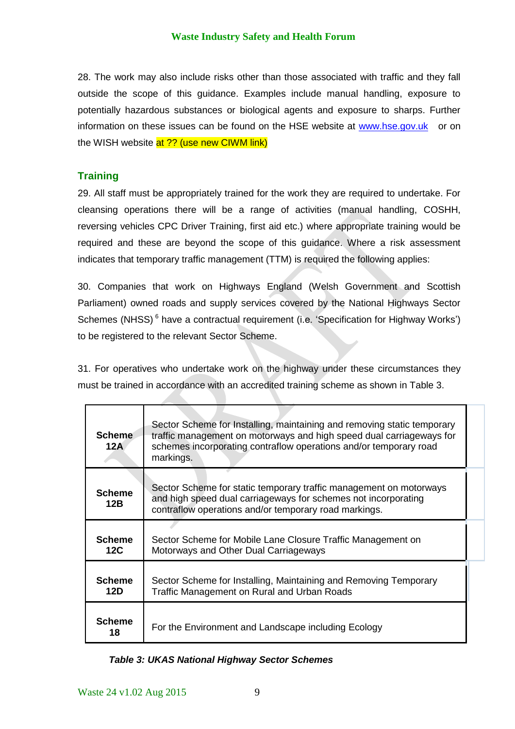28. The work may also include risks other than those associated with traffic and they fall outside the scope of this guidance. Examples include manual handling, exposure to potentially hazardous substances or biological agents and exposure to sharps. Further information on these issues can be found on the HSE website at [www.hse.gov.uk](http://www.hse.gov.uk/) or on the WISH website at ?? (use new CIWM link)

## **Training**

29. All staff must be appropriately trained for the work they are required to undertake. For cleansing operations there will be a range of activities (manual handling, COSHH, reversing vehicles CPC Driver Training, first aid etc.) where appropriate training would be required and these are beyond the scope of this guidance. Where a risk assessment indicates that temporary traffic management (TTM) is required the following applies:

30. Companies that work on Highways England (Welsh Government and Scottish Parliament) owned roads and supply services covered by the National Highways Sector Schemes (NHSS)<sup>6</sup> have a contractual requirement (i.e. 'Specification for Highway Works') to be registered to the relevant Sector Scheme.

31. For operatives who undertake work on the highway under these circumstances they must be trained in accordance with an accredited training scheme as shown in Table 3.

| <b>Scheme</b><br>12A | Sector Scheme for Installing, maintaining and removing static temporary<br>traffic management on motorways and high speed dual carriageways for<br>schemes incorporating contraflow operations and/or temporary road<br>markings. |  |
|----------------------|-----------------------------------------------------------------------------------------------------------------------------------------------------------------------------------------------------------------------------------|--|
| <b>Scheme</b><br>12B | Sector Scheme for static temporary traffic management on motorways<br>and high speed dual carriageways for schemes not incorporating<br>contraflow operations and/or temporary road markings.                                     |  |
| <b>Scheme</b><br>12C | Sector Scheme for Mobile Lane Closure Traffic Management on<br>Motorways and Other Dual Carriageways                                                                                                                              |  |
| <b>Scheme</b><br>12D | Sector Scheme for Installing, Maintaining and Removing Temporary<br>Traffic Management on Rural and Urban Roads                                                                                                                   |  |
| <b>Scheme</b><br>18  | For the Environment and Landscape including Ecology                                                                                                                                                                               |  |

## *Table 3: UKAS National Highway Sector Schemes*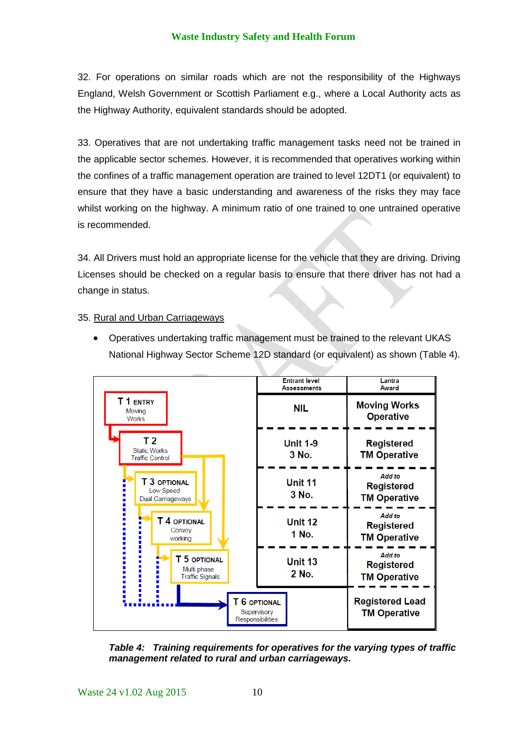32. For operations on similar roads which are not the responsibility of the Highways England, Welsh Government or Scottish Parliament e.g., where a Local Authority acts as the Highway Authority, equivalent standards should be adopted.

33. Operatives that are not undertaking traffic management tasks need not be trained in the applicable sector schemes. However, it is recommended that operatives working within the confines of a traffic management operation are trained to level 12DT1 (or equivalent) to ensure that they have a basic understanding and awareness of the risks they may face whilst working on the highway. A minimum ratio of one trained to one untrained operative is recommended.

34. All Drivers must hold an appropriate license for the vehicle that they are driving. Driving Licenses should be checked on a regular basis to ensure that there driver has not had a change in status.

#### 35. Rural and Urban Carriageways

 Operatives undertaking traffic management must be trained to the relevant UKAS National Highway Sector Scheme 12D standard (or equivalent) as shown (Table 4).



*Table 4: Training requirements for operatives for the varying types of traffic management related to rural and urban carriageways.*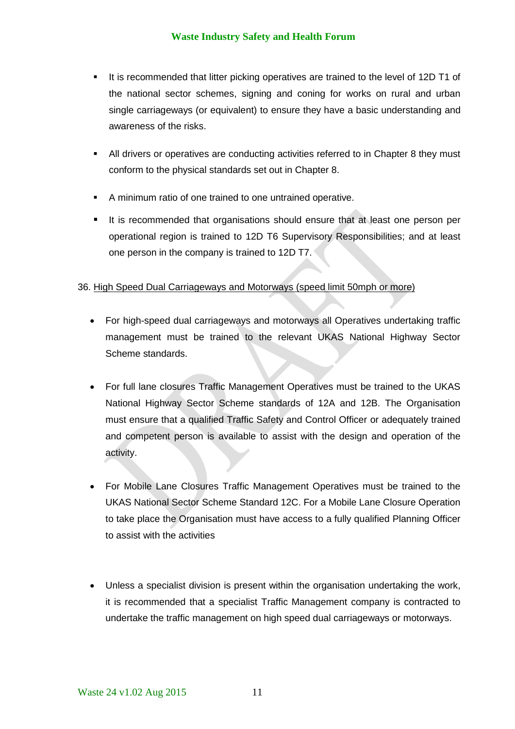- It is recommended that litter picking operatives are trained to the level of 12D T1 of the national sector schemes, signing and coning for works on rural and urban single carriageways (or equivalent) to ensure they have a basic understanding and awareness of the risks.
- All drivers or operatives are conducting activities referred to in Chapter 8 they must conform to the physical standards set out in Chapter 8.
- A minimum ratio of one trained to one untrained operative.
- It is recommended that organisations should ensure that at least one person per operational region is trained to 12D T6 Supervisory Responsibilities; and at least one person in the company is trained to 12D T7.

#### 36. High Speed Dual Carriageways and Motorways (speed limit 50mph or more)

- For high-speed dual carriageways and motorways all Operatives undertaking traffic management must be trained to the relevant UKAS National Highway Sector Scheme standards.
- For full lane closures Traffic Management Operatives must be trained to the UKAS National Highway Sector Scheme standards of 12A and 12B. The Organisation must ensure that a qualified Traffic Safety and Control Officer or adequately trained and competent person is available to assist with the design and operation of the activity.
- For Mobile Lane Closures Traffic Management Operatives must be trained to the UKAS National Sector Scheme Standard 12C. For a Mobile Lane Closure Operation to take place the Organisation must have access to a fully qualified Planning Officer to assist with the activities
- Unless a specialist division is present within the organisation undertaking the work, it is recommended that a specialist Traffic Management company is contracted to undertake the traffic management on high speed dual carriageways or motorways.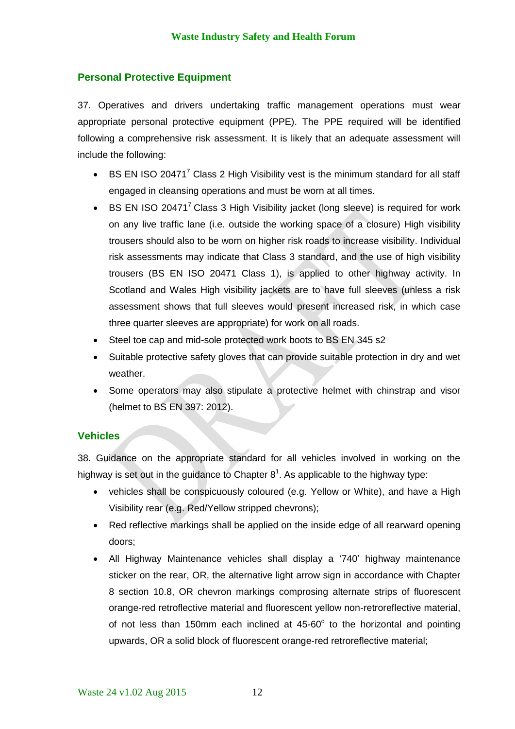## **Personal Protective Equipment**

37. Operatives and drivers undertaking traffic management operations must wear appropriate personal protective equipment (PPE). The PPE required will be identified following a comprehensive risk assessment. It is likely that an adequate assessment will include the following:

- $\bullet$  BS EN ISO 20471<sup>7</sup> Class 2 High Visibility vest is the minimum standard for all staff engaged in cleansing operations and must be worn at all times.
- **BS EN ISO 20471<sup>7</sup> Class 3 High Visibility jacket (long sleeve) is required for work** on any live traffic lane (i.e. outside the working space of a closure) High visibility trousers should also to be worn on higher risk roads to increase visibility. Individual risk assessments may indicate that Class 3 standard, and the use of high visibility trousers (BS EN ISO 20471 Class 1), is applied to other highway activity. In Scotland and Wales High visibility jackets are to have full sleeves (unless a risk assessment shows that full sleeves would present increased risk, in which case three quarter sleeves are appropriate) for work on all roads.
- Steel toe cap and mid-sole protected work boots to BS EN 345 s2
- Suitable protective safety gloves that can provide suitable protection in dry and wet weather.
- Some operators may also stipulate a protective helmet with chinstrap and visor (helmet to BS EN 397: 2012).

#### **Vehicles**

38. Guidance on the appropriate standard for all vehicles involved in working on the highway is set out in the guidance to Chapter  $8^1$ . As applicable to the highway type:

- vehicles shall be conspicuously coloured (e.g. Yellow or White), and have a High Visibility rear (e.g. Red/Yellow stripped chevrons);
- Red reflective markings shall be applied on the inside edge of all rearward opening doors;
- All Highway Maintenance vehicles shall display a '740' highway maintenance sticker on the rear, OR, the alternative light arrow sign in accordance with Chapter 8 section 10.8, OR chevron markings comprosing alternate strips of fluorescent orange-red retroflective material and fluorescent yellow non-retroreflective material, of not less than 150mm each inclined at  $45{\cdot}60^{\circ}$  to the horizontal and pointing upwards, OR a solid block of fluorescent orange-red retroreflective material;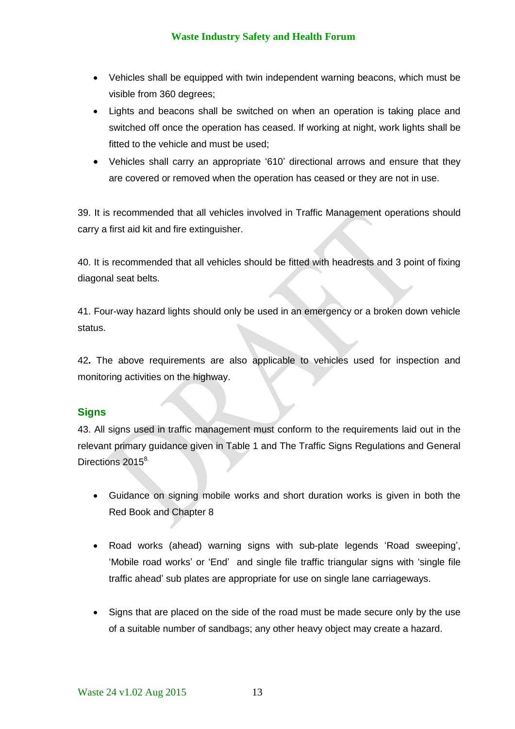- Vehicles shall be equipped with twin independent warning beacons, which must be visible from 360 degrees;
- Lights and beacons shall be switched on when an operation is taking place and switched off once the operation has ceased. If working at night, work lights shall be fitted to the vehicle and must be used;
- Vehicles shall carry an appropriate '610' directional arrows and ensure that they are covered or removed when the operation has ceased or they are not in use.

39. It is recommended that all vehicles involved in Traffic Management operations should carry a first aid kit and fire extinguisher.

40. It is recommended that all vehicles should be fitted with headrests and 3 point of fixing diagonal seat belts.

41. Four-way hazard lights should only be used in an emergency or a broken down vehicle status.

42**.** The above requirements are also applicable to vehicles used for inspection and monitoring activities on the highway.

## **Signs**

43. All signs used in traffic management must conform to the requirements laid out in the relevant primary guidance given in Table 1 and The Traffic Signs Regulations and General Directions 2015<sup>8.</sup>

- Guidance on signing mobile works and short duration works is given in both the Red Book and Chapter 8
- Road works (ahead) warning signs with sub-plate legends 'Road sweeping', 'Mobile road works' or 'End' and single file traffic triangular signs with 'single file traffic ahead' sub plates are appropriate for use on single lane carriageways.
- Signs that are placed on the side of the road must be made secure only by the use of a suitable number of sandbags; any other heavy object may create a hazard.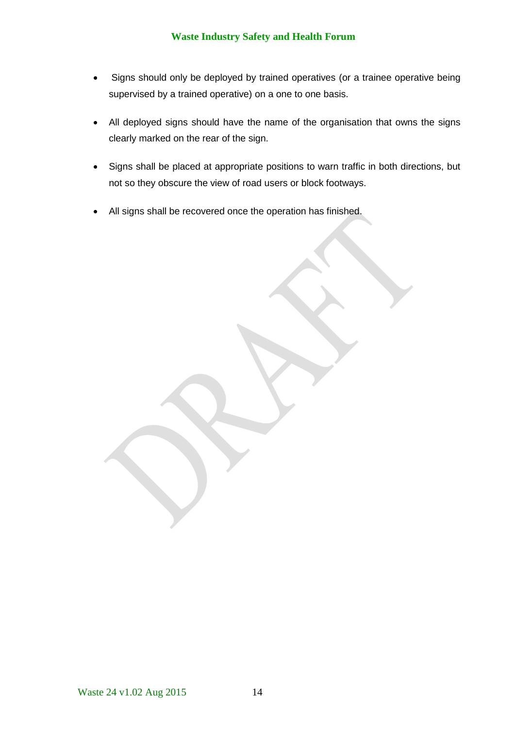- Signs should only be deployed by trained operatives (or a trainee operative being supervised by a trained operative) on a one to one basis.
- All deployed signs should have the name of the organisation that owns the signs clearly marked on the rear of the sign.
- Signs shall be placed at appropriate positions to warn traffic in both directions, but not so they obscure the view of road users or block footways.
- All signs shall be recovered once the operation has finished.

Waste 24 v1.02 Aug 2015 14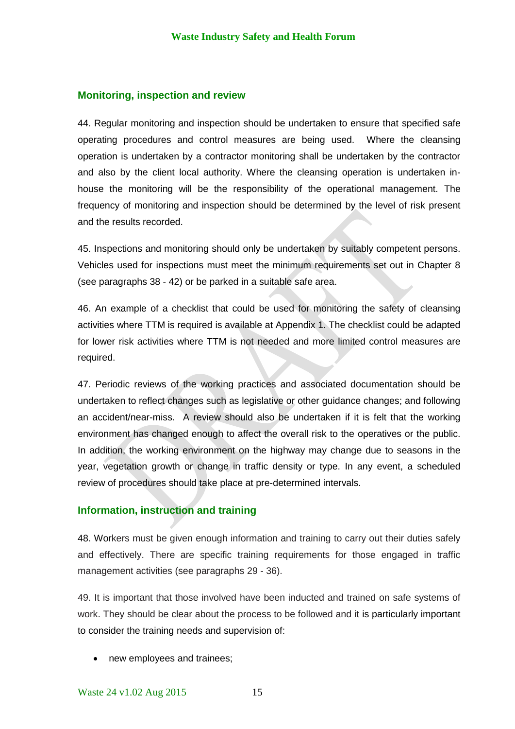#### **Monitoring, inspection and review**

44. Regular monitoring and inspection should be undertaken to ensure that specified safe operating procedures and control measures are being used. Where the cleansing operation is undertaken by a contractor monitoring shall be undertaken by the contractor and also by the client local authority. Where the cleansing operation is undertaken inhouse the monitoring will be the responsibility of the operational management. The frequency of monitoring and inspection should be determined by the level of risk present and the results recorded.

45. Inspections and monitoring should only be undertaken by suitably competent persons. Vehicles used for inspections must meet the minimum requirements set out in Chapter 8 (see paragraphs 38 - 42) or be parked in a suitable safe area.

46. An example of a checklist that could be used for monitoring the safety of cleansing activities where TTM is required is available at Appendix 1. The checklist could be adapted for lower risk activities where TTM is not needed and more limited control measures are required.

47. Periodic reviews of the working practices and associated documentation should be undertaken to reflect changes such as legislative or other guidance changes; and following an accident/near-miss. A review should also be undertaken if it is felt that the working environment has changed enough to affect the overall risk to the operatives or the public. In addition, the working environment on the highway may change due to seasons in the year, vegetation growth or change in traffic density or type. In any event, a scheduled review of procedures should take place at pre-determined intervals.

## **Information, instruction and training**

48. Workers must be given enough information and training to carry out their duties safely and effectively. There are specific training requirements for those engaged in traffic management activities (see paragraphs 29 - 36).

49. It is important that those involved have been inducted and trained on safe systems of work. They should be clear about the process to be followed and it is particularly important to consider the training needs and supervision of:

• new employees and trainees;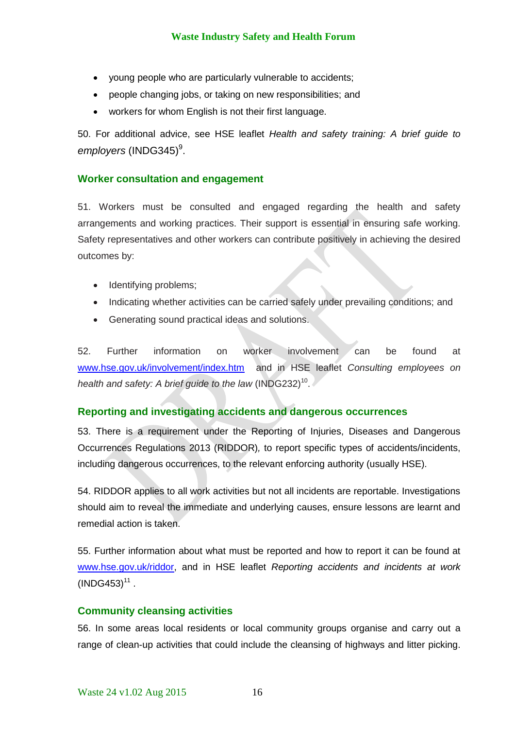- young people who are particularly vulnerable to accidents;
- people changing jobs, or taking on new responsibilities; and
- workers for whom English is not their first language.

50. For additional advice, see HSE leaflet *Health and safety training: A brief guide to*  employers (INDG345)<sup>9</sup>.

## **Worker consultation and engagement**

51. Workers must be consulted and engaged regarding the health and safety arrangements and working practices. Their support is essential in ensuring safe working. Safety representatives and other workers can contribute positively in achieving the desired outcomes by:

- Identifying problems;
- Indicating whether activities can be carried safely under prevailing conditions; and
- Generating sound practical ideas and solutions.

52. Further information on worker involvement can be found at [www.hse.gov.uk/involvement/index.htm](http://www.hse.gov.uk/involvement/index.htm) and in HSE leaflet *Consulting employees on*  health and safety: A brief guide to the law (INDG232)<sup>10</sup>.

#### **Reporting and investigating accidents and dangerous occurrences**

53. There is a requirement under the Reporting of Injuries, Diseases and Dangerous Occurrences Regulations 2013 (RIDDOR)*,* to report specific types of accidents/incidents, including dangerous occurrences, to the relevant enforcing authority (usually HSE)*.* 

54. RIDDOR applies to all work activities but not all incidents are reportable. Investigations should aim to reveal the immediate and underlying causes, ensure lessons are learnt and remedial action is taken.

55. Further information about what must be reported and how to report it can be found at [www.hse.gov.uk/riddor,](http://www.hse.gov.uk/riddor) and in HSE leaflet *Reporting accidents and incidents at work*  $(INDG453)^{11}$ .

#### **Community cleansing activities**

56. In some areas local residents or local community groups organise and carry out a range of clean-up activities that could include the cleansing of highways and litter picking.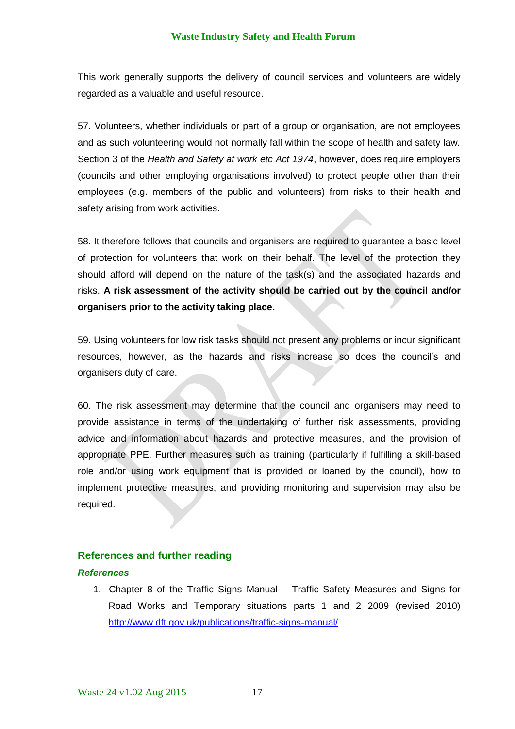This work generally supports the delivery of council services and volunteers are widely regarded as a valuable and useful resource.

57. Volunteers, whether individuals or part of a group or organisation, are not employees and as such volunteering would not normally fall within the scope of health and safety law. Section 3 of the *Health and Safety at work etc Act 1974*, however, does require employers (councils and other employing organisations involved) to protect people other than their employees (e.g. members of the public and volunteers) from risks to their health and safety arising from work activities.

58. It therefore follows that councils and organisers are required to guarantee a basic level of protection for volunteers that work on their behalf. The level of the protection they should afford will depend on the nature of the task(s) and the associated hazards and risks. **A risk assessment of the activity should be carried out by the council and/or organisers prior to the activity taking place.**

59. Using volunteers for low risk tasks should not present any problems or incur significant resources, however, as the hazards and risks increase so does the council's and organisers duty of care.

60. The risk assessment may determine that the council and organisers may need to provide assistance in terms of the undertaking of further risk assessments, providing advice and information about hazards and protective measures, and the provision of appropriate PPE. Further measures such as training (particularly if fulfilling a skill-based role and/or using work equipment that is provided or loaned by the council), how to implement protective measures, and providing monitoring and supervision may also be required.

#### **References and further reading**

#### *References*

1. Chapter 8 of the Traffic Signs Manual – Traffic Safety Measures and Signs for Road Works and Temporary situations parts 1 and 2 2009 (revised 2010) <http://www.dft.gov.uk/publications/traffic-signs-manual/>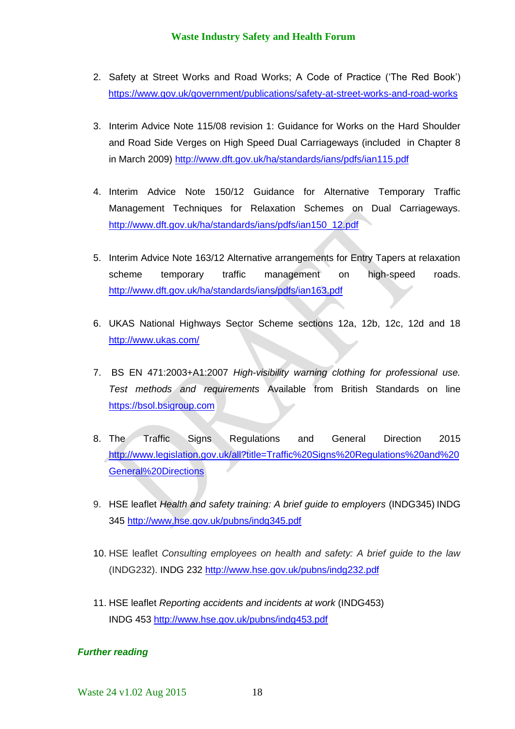- 2. Safety at Street Works and Road Works; A Code of Practice ('The Red Book') <https://www.gov.uk/government/publications/safety-at-street-works-and-road-works>
- 3. Interim Advice Note 115/08 revision 1: Guidance for Works on the Hard Shoulder and Road Side Verges on High Speed Dual Carriageways (included in Chapter 8 in March 2009)<http://www.dft.gov.uk/ha/standards/ians/pdfs/ian115.pdf>
- 4. Interim Advice Note 150/12 Guidance for Alternative Temporary Traffic Management Techniques for Relaxation Schemes on Dual Carriageways. [http://www.dft.gov.uk/ha/standards/ians/pdfs/ian150\\_12.pdf](http://www.dft.gov.uk/ha/standards/ians/pdfs/ian150_12.pdf)
- 5. Interim Advice Note 163/12 Alternative arrangements for Entry Tapers at relaxation scheme temporary traffic management on high-speed roads. <http://www.dft.gov.uk/ha/standards/ians/pdfs/ian163.pdf>
- 6. UKAS National Highways Sector Scheme sections 12a, 12b, 12c, 12d and 18 <http://www.ukas.com/>
- 7. BS EN 471:2003+A1:2007 *High-visibility warning clothing for professional use. Test methods and requirements* Available from British Standards on line [https://bsol.bsigroup.com](https://bsol.bsigroup.com/)
- 8. The Traffic Signs Regulations and General Direction 2015 [http://www.legislation.gov.uk/all?title=Traffic%20Signs%20Regulations%20and%20](http://www.legislation.gov.uk/all?title=Traffic%20Signs%20Regulations%20and%20General%20Directions) [General%20Directions](http://www.legislation.gov.uk/all?title=Traffic%20Signs%20Regulations%20and%20General%20Directions)
- 9. HSE leaflet *Health and safety training: A brief guide to employers* (INDG345) INDG 345<http://www.hse.gov.uk/pubns/indg345.pdf>
- 10. HSE leaflet *Consulting employees on health and safety: A brief guide to the law* (INDG232). INDG 232<http://www.hse.gov.uk/pubns/indg232.pdf>
- 11. HSE leaflet *Reporting accidents and incidents at work* (INDG453) INDG 453<http://www.hse.gov.uk/pubns/indg453.pdf>

## *Further reading*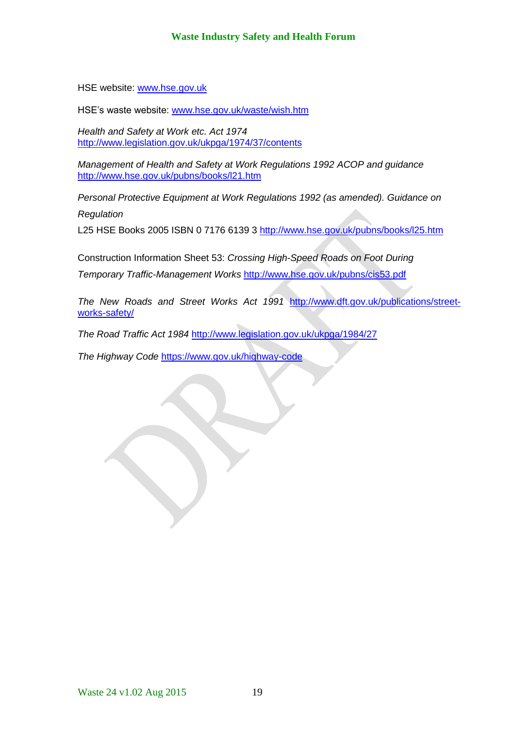HSE website: [www.hse.gov.uk](http://www.hse.gov.uk/)

HSE's waste website: [www.hse.gov.uk/waste/wish.htm](http://www.hse.gov.uk/waste/wish.htm)

*Health and Safety at Work etc. Act 1974* <http://www.legislation.gov.uk/ukpga/1974/37/contents>

*Management of Health and Safety at Work Regulations 1992 ACOP and guidance* <http://www.hse.gov.uk/pubns/books/l21.htm>

*Personal Protective Equipment at Work Regulations 1992 (as amended). Guidance on*

*Regulation*

L25 HSE Books 2005 ISBN 0 7176 6139 3 <http://www.hse.gov.uk/pubns/books/l25.htm>

Construction Information Sheet 53: *Crossing High-Speed Roads on Foot During* 

*Temporary Traffic-Management Works* <http://www.hse.gov.uk/pubns/cis53.pdf>

*The New Roads and Street Works Act 1991* [http://www.dft.gov.uk/publications/street](http://www.dft.gov.uk/publications/street-works-safety/)[works-safety/](http://www.dft.gov.uk/publications/street-works-safety/)

*The Road Traffic Act 1984* <http://www.legislation.gov.uk/ukpga/1984/27>

*The Highway Code* <https://www.gov.uk/highway-code>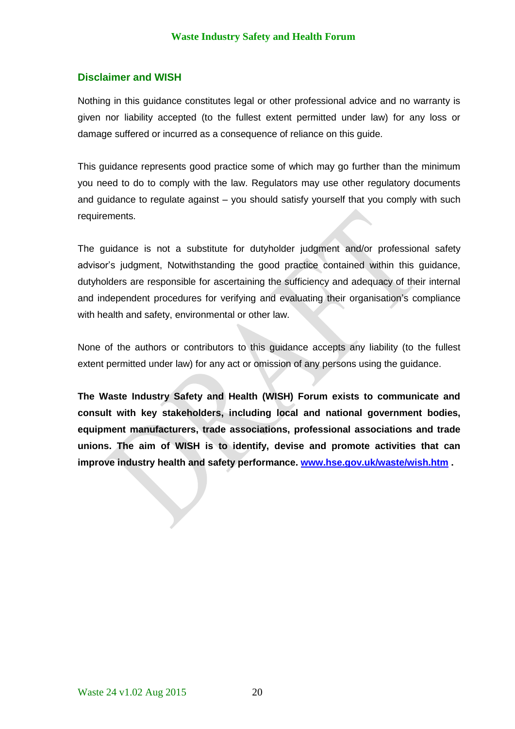#### **Disclaimer and WISH**

Nothing in this guidance constitutes legal or other professional advice and no warranty is given nor liability accepted (to the fullest extent permitted under law) for any loss or damage suffered or incurred as a consequence of reliance on this guide.

This guidance represents good practice some of which may go further than the minimum you need to do to comply with the law. Regulators may use other regulatory documents and guidance to regulate against – you should satisfy yourself that you comply with such requirements.

The guidance is not a substitute for dutyholder judgment and/or professional safety advisor's judgment, Notwithstanding the good practice contained within this guidance, dutyholders are responsible for ascertaining the sufficiency and adequacy of their internal and independent procedures for verifying and evaluating their organisation's compliance with health and safety, environmental or other law.

None of the authors or contributors to this guidance accepts any liability (to the fullest extent permitted under law) for any act or omission of any persons using the guidance.

**The Waste Industry Safety and Health (WISH) Forum exists to communicate and consult with key stakeholders, including local and national government bodies, equipment manufacturers, trade associations, professional associations and trade unions. The aim of WISH is to identify, devise and promote activities that can improve industry health and safety performance. [www.hse.gov.uk/waste/wish.htm](http://www.hse.gov.uk/waste/wish.htm) .**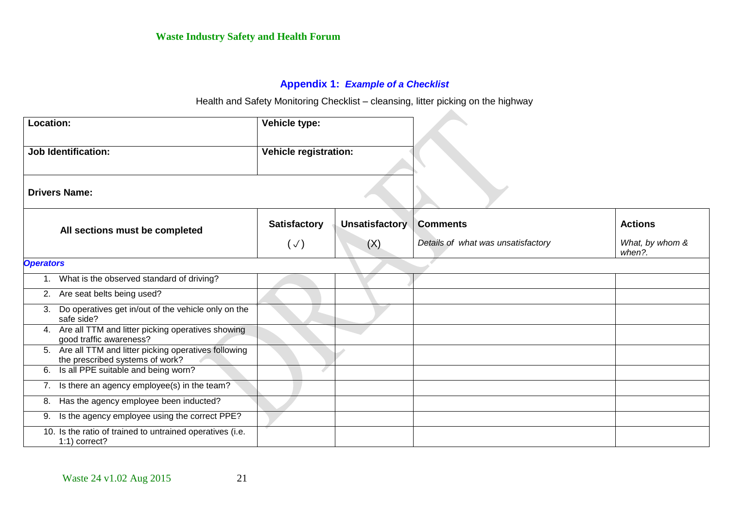## **Appendix 1:** *Example of a Checklist*

Health and Safety Monitoring Checklist – cleansing, litter picking on the highway

 $\Delta \mathbf{r}$ 

| Location:                      |                                                                                        | Vehicle type:                |                |                                    |                           |
|--------------------------------|----------------------------------------------------------------------------------------|------------------------------|----------------|------------------------------------|---------------------------|
|                                | <b>Job Identification:</b>                                                             | <b>Vehicle registration:</b> |                |                                    |                           |
|                                | <b>Drivers Name:</b>                                                                   |                              |                |                                    |                           |
| All sections must be completed |                                                                                        | <b>Satisfactory</b>          | Unsatisfactory | <b>Comments</b>                    | <b>Actions</b>            |
|                                |                                                                                        | $(\vee)$                     | (X)            | Details of what was unsatisfactory | What, by whom &<br>when?. |
|                                | <b>Operators</b>                                                                       |                              |                |                                    |                           |
|                                | What is the observed standard of driving?                                              |                              |                |                                    |                           |
|                                | 2. Are seat belts being used?                                                          |                              |                |                                    |                           |
| 3.                             | Do operatives get in/out of the vehicle only on the<br>safe side?                      |                              |                |                                    |                           |
|                                | 4. Are all TTM and litter picking operatives showing<br>good traffic awareness?        |                              |                |                                    |                           |
| 5.                             | Are all TTM and litter picking operatives following<br>the prescribed systems of work? |                              |                |                                    |                           |
| 6.                             | Is all PPE suitable and being worn?                                                    |                              |                |                                    |                           |
| 7.                             | Is there an agency employee(s) in the team?                                            |                              |                |                                    |                           |
| 8.                             | Has the agency employee been inducted?                                                 |                              |                |                                    |                           |
| 9.                             | Is the agency employee using the correct PPE?                                          |                              |                |                                    |                           |
|                                | 10. Is the ratio of trained to untrained operatives (i.e.<br>$1:1$ ) correct?          |                              |                |                                    |                           |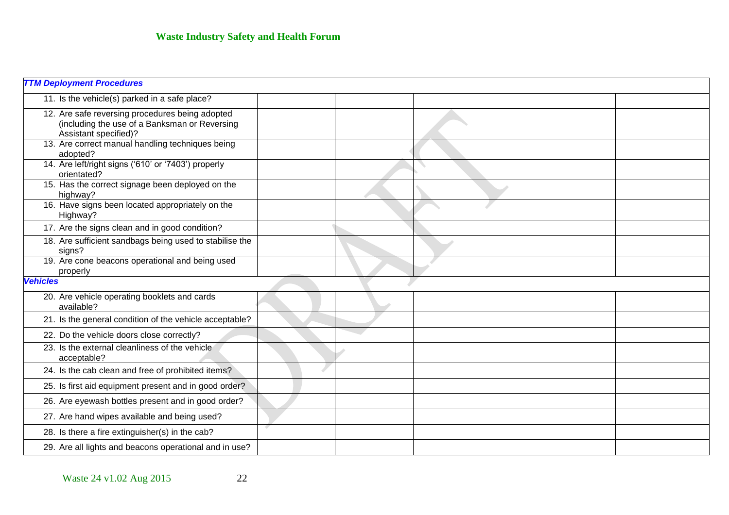| <b>TTM Deployment Procedures</b>                                                                                          |  |  |
|---------------------------------------------------------------------------------------------------------------------------|--|--|
| 11. Is the vehicle(s) parked in a safe place?                                                                             |  |  |
| 12. Are safe reversing procedures being adopted<br>(including the use of a Banksman or Reversing<br>Assistant specified)? |  |  |
| 13. Are correct manual handling techniques being<br>adopted?                                                              |  |  |
| 14. Are left/right signs ('610' or '7403') properly<br>orientated?                                                        |  |  |
| 15. Has the correct signage been deployed on the<br>highway?                                                              |  |  |
| 16. Have signs been located appropriately on the<br>Highway?                                                              |  |  |
| 17. Are the signs clean and in good condition?                                                                            |  |  |
| 18. Are sufficient sandbags being used to stabilise the<br>signs?                                                         |  |  |
| 19. Are cone beacons operational and being used<br>properly                                                               |  |  |
| <b>Vehicles</b>                                                                                                           |  |  |
| 20. Are vehicle operating booklets and cards<br>available?                                                                |  |  |
| 21. Is the general condition of the vehicle acceptable?                                                                   |  |  |
| 22. Do the vehicle doors close correctly?                                                                                 |  |  |
| 23. Is the external cleanliness of the vehicle<br>acceptable?                                                             |  |  |
| 24. Is the cab clean and free of prohibited items?                                                                        |  |  |
| 25. Is first aid equipment present and in good order?                                                                     |  |  |
| 26. Are eyewash bottles present and in good order?                                                                        |  |  |
| 27. Are hand wipes available and being used?                                                                              |  |  |
| 28. Is there a fire extinguisher(s) in the cab?                                                                           |  |  |
| 29. Are all lights and beacons operational and in use?                                                                    |  |  |